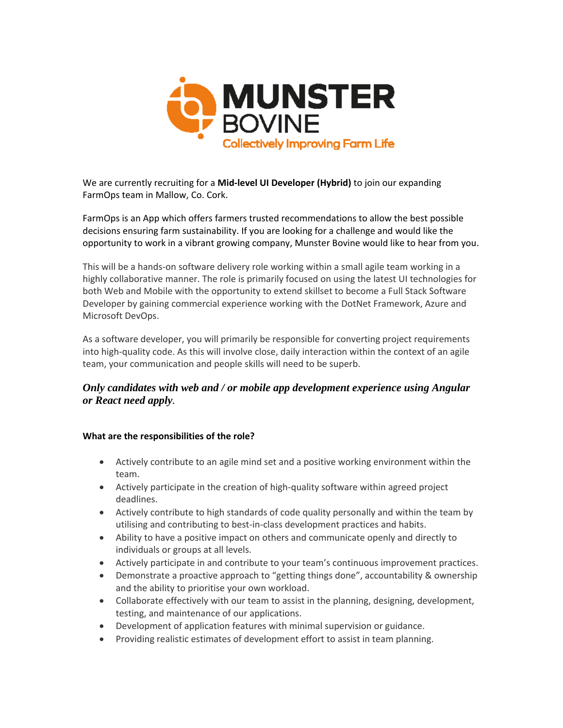

We are currently recruiting for a **Mid-level UI Developer (Hybrid)** to join our expanding FarmOps team in Mallow, Co. Cork.

FarmOps is an App which offers farmers trusted recommendations to allow the best possible decisions ensuring farm sustainability. If you are looking for a challenge and would like the opportunity to work in a vibrant growing company, Munster Bovine would like to hear from you.

This will be a hands-on software delivery role working within a small agile team working in a highly collaborative manner. The role is primarily focused on using the latest UI technologies for both Web and Mobile with the opportunity to extend skillset to become a Full Stack Software Developer by gaining commercial experience working with the DotNet Framework, Azure and Microsoft DevOps.

As a software developer, you will primarily be responsible for converting project requirements into high-quality code. As this will involve close, daily interaction within the context of an agile team, your communication and people skills will need to be superb.

## *Only candidates with web and / or mobile app development experience using Angular or React need apply.*

## **What are the responsibilities of the role?**

- Actively contribute to an agile mind set and a positive working environment within the team.
- Actively participate in the creation of high-quality software within agreed project deadlines.
- Actively contribute to high standards of code quality personally and within the team by utilising and contributing to best-in-class development practices and habits.
- Ability to have a positive impact on others and communicate openly and directly to individuals or groups at all levels.
- Actively participate in and contribute to your team's continuous improvement practices.
- Demonstrate a proactive approach to "getting things done", accountability & ownership and the ability to prioritise your own workload.
- Collaborate effectively with our team to assist in the planning, designing, development, testing, and maintenance of our applications.
- Development of application features with minimal supervision or guidance.
- Providing realistic estimates of development effort to assist in team planning.